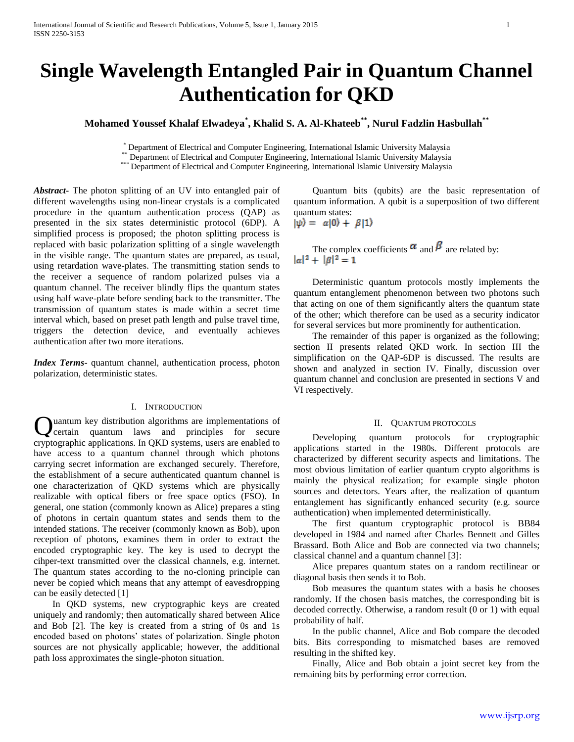# **Single Wavelength Entangled Pair in Quantum Channel Authentication for QKD**

# **Mohamed Youssef Khalaf Elwadeya\* , Khalid S. A. Al-Khateeb\*\*, Nurul Fadzlin Hasbullah\*\***

\* Department of Electrical and Computer Engineering, International Islamic University Malaysia

**Expariment of Electrical and Computer Engineering, International Islamic University Malaysia**<br>\*\* Department of Electrical and Computer Engineering, International Islamic University Malaysia

\*\*\* Department of Electrical and Computer Engineering, International Islamic University Malaysia

*Abstract***-** The photon splitting of an UV into entangled pair of different wavelengths using non-linear crystals is a complicated procedure in the quantum authentication process (QAP) as presented in the six states deterministic protocol (6DP). A simplified process is proposed; the photon splitting process is replaced with basic polarization splitting of a single wavelength in the visible range. The quantum states are prepared, as usual, using retardation wave-plates. The transmitting station sends to the receiver a sequence of random polarized pulses via a quantum channel. The receiver blindly flips the quantum states using half wave-plate before sending back to the transmitter. The transmission of quantum states is made within a secret time interval which, based on preset path length and pulse travel time, triggers the detection device, and eventually achieves authentication after two more iterations.

*Index Terms*- quantum channel, authentication process, photon polarization, deterministic states.

# I. INTRODUCTION

uantum key distribution algorithms are implementations of certain quantum laws and principles for secure **Q** uantum key distribution algorithms are implementations of certain quantum laws and principles for secure cryptographic applications. In QKD systems, users are enabled to have access to a quantum channel through which photons carrying secret information are exchanged securely. Therefore, the establishment of a secure authenticated quantum channel is one characterization of QKD systems which are physically realizable with optical fibers or free space optics (FSO). In general, one station (commonly known as Alice) prepares a sting of photons in certain quantum states and sends them to the intended stations. The receiver (commonly known as Bob), upon reception of photons, examines them in order to extract the encoded cryptographic key. The key is used to decrypt the cihper-text transmitted over the classical channels, e.g. internet. The quantum states according to the no-cloning principle can never be copied which means that any attempt of eavesdropping can be easily detected [1]

 In QKD systems, new cryptographic keys are created uniquely and randomly; then automatically shared between Alice and Bob [2]. The key is created from a string of 0s and 1s encoded based on photons" states of polarization. Single photon sources are not physically applicable; however, the additional path loss approximates the single-photon situation.

 Quantum bits (qubits) are the basic representation of quantum information. A qubit is a superposition of two different quantum states:

$$
|\psi\rangle = \alpha|0\rangle + \beta|1\rangle
$$

The complex coefficients  $\alpha$  and  $\beta$  are related by:<br> $|\alpha|^2 + |\beta|^2 = 1$ 

 Deterministic quantum protocols mostly implements the quantum entanglement phenomenon between two photons such that acting on one of them significantly alters the quantum state of the other; which therefore can be used as a security indicator for several services but more prominently for authentication.

 The remainder of this paper is organized as the following; section II presents related QKD work. In section III the simplification on the QAP-6DP is discussed. The results are shown and analyzed in section IV. Finally, discussion over quantum channel and conclusion are presented in sections V and VI respectively.

#### II. QUANTUM PROTOCOLS

 Developing quantum protocols for cryptographic applications started in the 1980s. Different protocols are characterized by different security aspects and limitations. The most obvious limitation of earlier quantum crypto algorithms is mainly the physical realization; for example single photon sources and detectors. Years after, the realization of quantum entanglement has significantly enhanced security (e.g. source authentication) when implemented deterministically.

 The first quantum cryptographic protocol is BB84 developed in 1984 and named after Charles Bennett and Gilles Brassard. Both Alice and Bob are connected via two channels; classical channel and a quantum channel [3]:

 Alice prepares quantum states on a random rectilinear or diagonal basis then sends it to Bob.

 Bob measures the quantum states with a basis he chooses randomly. If the chosen basis matches, the corresponding bit is decoded correctly. Otherwise, a random result (0 or 1) with equal probability of half.

 In the public channel, Alice and Bob compare the decoded bits. Bits corresponding to mismatched bases are removed resulting in the shifted key.

 Finally, Alice and Bob obtain a joint secret key from the remaining bits by performing error correction.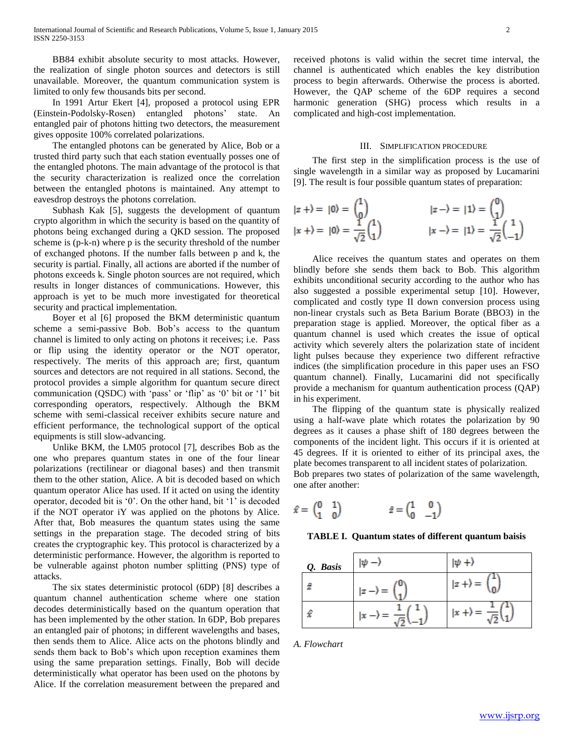BB84 exhibit absolute security to most attacks. However, the realization of single photon sources and detectors is still unavailable. Moreover, the quantum communication system is limited to only few thousands bits per second.

 In 1991 Artur Ekert [4], proposed a protocol using EPR (Einstein-Podolsky-Rosen) entangled photons" state. An entangled pair of photons hitting two detectors, the measurement gives opposite 100% correlated polarizations.

 The entangled photons can be generated by Alice, Bob or a trusted third party such that each station eventually posses one of the entangled photons. The main advantage of the protocol is that the security characterization is realized once the correlation between the entangled photons is maintained. Any attempt to eavesdrop destroys the photons correlation.

 Subhash Kak [5], suggests the development of quantum crypto algorithm in which the security is based on the quantity of photons being exchanged during a QKD session. The proposed scheme is (p-k-n) where p is the security threshold of the number of exchanged photons. If the number falls between p and k, the security is partial. Finally, all actions are aborted if the number of photons exceeds k. Single photon sources are not required, which results in longer distances of communications. However, this approach is yet to be much more investigated for theoretical security and practical implementation.

 Boyer et al [6] proposed the BKM deterministic quantum scheme a semi-passive Bob. Bob"s access to the quantum channel is limited to only acting on photons it receives; i.e. Pass or flip using the identity operator or the NOT operator, respectively. The merits of this approach are; first, quantum sources and detectors are not required in all stations. Second, the protocol provides a simple algorithm for quantum secure direct communication (QSDC) with "pass" or "flip" as "0" bit or "1" bit corresponding operators, respectively. Although the BKM scheme with semi-classical receiver exhibits secure nature and efficient performance, the technological support of the optical equipments is still slow-advancing.

 Unlike BKM, the LM05 protocol [7], describes Bob as the one who prepares quantum states in one of the four linear polarizations (rectilinear or diagonal bases) and then transmit them to the other station, Alice. A bit is decoded based on which quantum operator Alice has used. If it acted on using the identity operator, decoded bit is "0". On the other hand, bit "1" is decoded if the NOT operator iY was applied on the photons by Alice. After that, Bob measures the quantum states using the same settings in the preparation stage. The decoded string of bits creates the cryptographic key. This protocol is characterized by a deterministic performance. However, the algorithm is reported to be vulnerable against photon number splitting (PNS) type of attacks.

 The six states deterministic protocol (6DP) [8] describes a quantum channel authentication scheme where one station decodes deterministically based on the quantum operation that has been implemented by the other station. In 6DP, Bob prepares an entangled pair of photons; in different wavelengths and bases, then sends them to Alice. Alice acts on the photons blindly and sends them back to Bob"s which upon reception examines them using the same preparation settings. Finally, Bob will decide deterministically what operator has been used on the photons by Alice. If the correlation measurement between the prepared and

received photons is valid within the secret time interval, the channel is authenticated which enables the key distribution process to begin afterwards. Otherwise the process is aborted. However, the QAP scheme of the 6DP requires a second harmonic generation (SHG) process which results in a complicated and high-cost implementation.

## III. SIMPLIFICATION PROCEDURE

 The first step in the simplification process is the use of single wavelength in a similar way as proposed by Lucamarini [9]. The result is four possible quantum states of preparation:

$$
|z + \rangle = |0\rangle = \begin{pmatrix} 1 \\ 0 \end{pmatrix}
$$
  
\n
$$
|z + \rangle = |0\rangle = \frac{1}{\sqrt{2}} \begin{pmatrix} 1 \\ 1 \end{pmatrix}
$$
  
\n
$$
|z - \rangle = |1\rangle = \begin{pmatrix} 0 \\ 1 \end{pmatrix}
$$
  
\n
$$
|x - \rangle = |1\rangle = \frac{1}{\sqrt{2}} \begin{pmatrix} 1 \\ -1 \end{pmatrix}
$$

 Alice receives the quantum states and operates on them blindly before she sends them back to Bob. This algorithm exhibits unconditional security according to the author who has also suggested a possible experimental setup [10]. However, complicated and costly type II down conversion process using non-linear crystals such as Beta Barium Borate (BBO3) in the preparation stage is applied. Moreover, the optical fiber as a quantum channel is used which creates the issue of optical activity which severely alters the polarization state of incident light pulses because they experience two different refractive indices (the simplification procedure in this paper uses an FSO quantum channel). Finally, Lucamarini did not specifically provide a mechanism for quantum authentication process (QAP) in his experiment.

 The flipping of the quantum state is physically realized using a half-wave plate which rotates the polarization by 90 degrees as it causes a phase shift of 180 degrees between the components of the incident light. This occurs if it is oriented at 45 degrees. If it is oriented to either of its principal axes, the plate becomes transparent to all incident states of polarization. Bob prepares two states of polarization of the same wavelength, one after another:

$$
\hat{x} = \begin{pmatrix} 0 & 1 \\ 1 & 0 \end{pmatrix} \qquad \qquad \hat{z} = \begin{pmatrix} 1 & 0 \\ 0 & -1 \end{pmatrix}
$$

#### **TABLE I. Quantum states of different quantum baisis**

| Q. Basis | ΙW                  | lψ<br>$^{+}$             |
|----------|---------------------|--------------------------|
| ÷        | υ<br>$ z-\rangle =$ | $ z + \rangle = \langle$ |
| £        |                     |                          |

*A. Flowchart*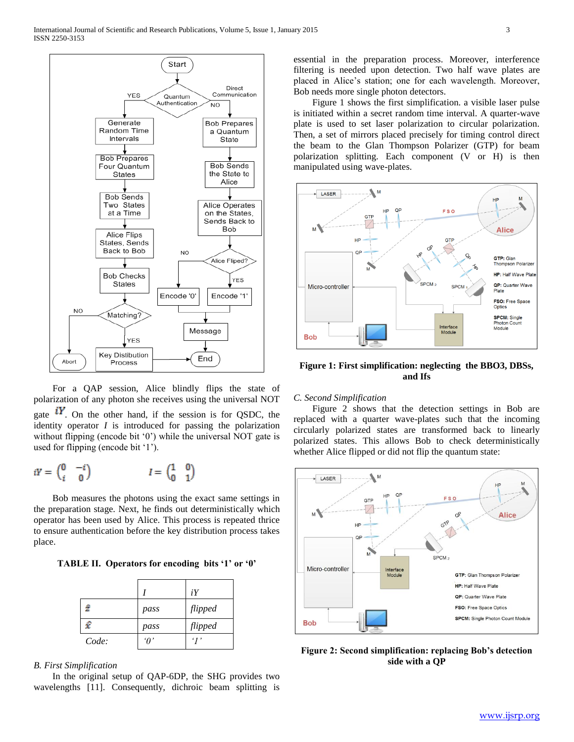

 For a QAP session, Alice blindly flips the state of polarization of any photon she receives using the universal NOT gate  $\mathbf{i}Y$ . On the other hand, if the session is for QSDC, the identity operator  $I$  is introduced for passing the polarization without flipping (encode bit '0') while the universal NOT gate is used for flipping (encode bit '1').

$$
iY = \begin{pmatrix} 0 & -i \\ i & 0 \end{pmatrix} \qquad \qquad I = \begin{pmatrix} 1 & 0 \\ 0 & 1 \end{pmatrix}
$$

 Bob measures the photons using the exact same settings in the preparation stage. Next, he finds out deterministically which operator has been used by Alice. This process is repeated thrice to ensure authentication before the key distribution process takes place.

**TABLE II. Operators for encoding bits '1' or '0'**

|       |         | iY              |
|-------|---------|-----------------|
| ź     | pass    | flipped         |
| £     | pass    | flipped         |
| Code: | $\eta'$ | $\cdot$ $\cdot$ |

*B. First Simplification* 

 In the original setup of QAP-6DP, the SHG provides two wavelengths [11]. Consequently, dichroic beam splitting is essential in the preparation process. Moreover, interference filtering is needed upon detection. Two half wave plates are placed in Alice"s station; one for each wavelength. Moreover, Bob needs more single photon detectors.

 Figure 1 shows the first simplification. a visible laser pulse is initiated within a secret random time interval. A quarter-wave plate is used to set laser polarization to circular polarization. Then, a set of mirrors placed precisely for timing control direct the beam to the Glan Thompson Polarizer (GTP) for beam polarization splitting. Each component (V or H) is then manipulated using wave-plates.



**Figure 1: First simplification: neglecting the BBO3, DBSs, and Ifs**

# *C. Second Simplification*

 Figure 2 shows that the detection settings in Bob are replaced with a quarter wave-plates such that the incoming circularly polarized states are transformed back to linearly polarized states. This allows Bob to check deterministically whether Alice flipped or did not flip the quantum state:



**Figure 2: Second simplification: replacing Bob's detection side with a QP**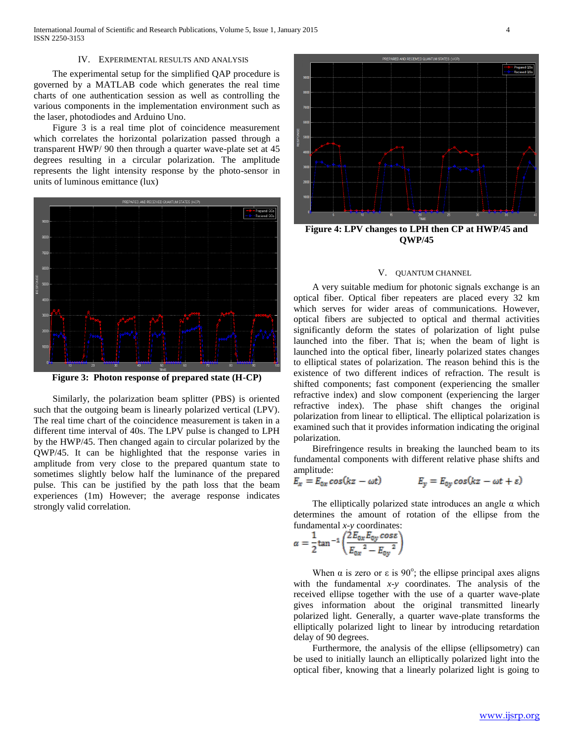International Journal of Scientific and Research Publications, Volume 5, Issue 1, January 2015 4 ISSN 2250-3153

# IV. EXPERIMENTAL RESULTS AND ANALYSIS

 The experimental setup for the simplified QAP procedure is governed by a MATLAB code which generates the real time charts of one authentication session as well as controlling the various components in the implementation environment such as the laser, photodiodes and Arduino Uno.

 Figure 3 is a real time plot of coincidence measurement which correlates the horizontal polarization passed through a transparent HWP/ 90 then through a quarter wave-plate set at 45 degrees resulting in a circular polarization. The amplitude represents the light intensity response by the photo-sensor in units of luminous emittance (lux)



**Figure 3: Photon response of prepared state (H-CP)**

 Similarly, the polarization beam splitter (PBS) is oriented such that the outgoing beam is linearly polarized vertical (LPV). The real time chart of the coincidence measurement is taken in a different time interval of 40s. The LPV pulse is changed to LPH by the HWP/45. Then changed again to circular polarized by the QWP/45. It can be highlighted that the response varies in amplitude from very close to the prepared quantum state to sometimes slightly below half the luminance of the prepared pulse. This can be justified by the path loss that the beam experiences (1m) However; the average response indicates strongly valid correlation.



**QWP/45**

#### V. QUANTUM CHANNEL

 A very suitable medium for photonic signals exchange is an optical fiber. Optical fiber repeaters are placed every 32 km which serves for wider areas of communications. However, optical fibers are subjected to optical and thermal activities significantly deform the states of polarization of light pulse launched into the fiber. That is; when the beam of light is launched into the optical fiber, linearly polarized states changes to elliptical states of polarization. The reason behind this is the existence of two different indices of refraction. The result is shifted components; fast component (experiencing the smaller refractive index) and slow component (experiencing the larger refractive index). The phase shift changes the original polarization from linear to elliptical. The elliptical polarization is examined such that it provides information indicating the original polarization.

 Birefringence results in breaking the launched beam to its fundamental components with different relative phase shifts and amplitude:

$$
E_x = E_{0x} \cos(kz - \omega t) \qquad E_y = E_{0y} \cos(kz - \omega t + \varepsilon)
$$

The elliptically polarized state introduces an angle  $\alpha$  which determines the amount of rotation of the ellipse from the fundamental *x-y* coordinates:

$$
\alpha = \frac{1}{2} \tan^{-1} \left( \frac{2E_{0x} E_{0y} \cos \varepsilon}{E_{0x}^2 - E_{0y}^2} \right)
$$

When  $\alpha$  is zero or  $\varepsilon$  is 90°; the ellipse principal axes aligns with the fundamental *x-y* coordinates. The analysis of the received ellipse together with the use of a quarter wave-plate gives information about the original transmitted linearly polarized light. Generally, a quarter wave-plate transforms the elliptically polarized light to linear by introducing retardation delay of 90 degrees.

Furthermore, the analysis of the ellipse (ellipsometry) can be used to initially launch an elliptically polarized light into the optical fiber, knowing that a linearly polarized light is going to